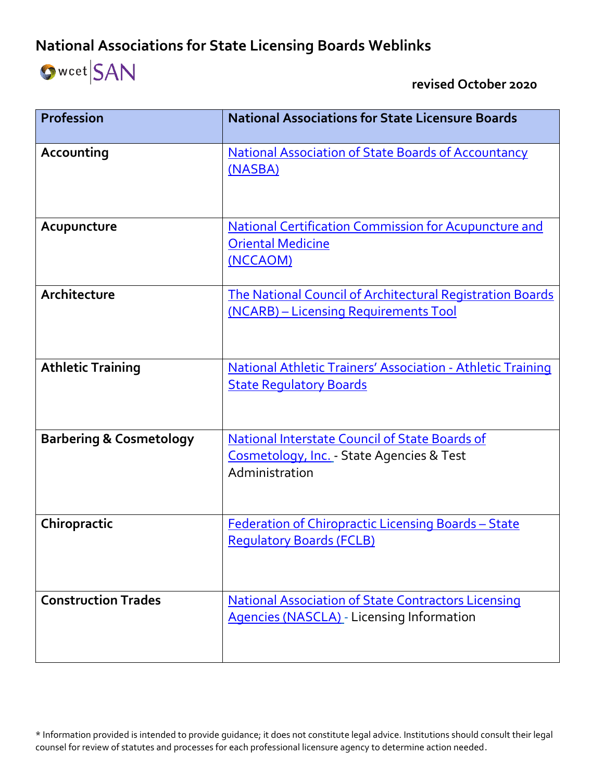## **National Associations for State Licensing Boards Weblinks**

## **SWCet** SAN

 **revised October 2020**

| <b>Profession</b>                  | <b>National Associations for State Licensure Boards</b>                                                              |
|------------------------------------|----------------------------------------------------------------------------------------------------------------------|
| Accounting                         | <b>National Association of State Boards of Accountancy</b><br>(NASBA)                                                |
| Acupuncture                        | <b>National Certification Commission for Acupuncture and</b><br><b>Oriental Medicine</b><br>(NCCAOM)                 |
| Architecture                       | The National Council of Architectural Registration Boards<br>(NCARB) - Licensing Requirements Tool                   |
| <b>Athletic Training</b>           | <b>National Athletic Trainers' Association - Athletic Training</b><br><b>State Regulatory Boards</b>                 |
| <b>Barbering &amp; Cosmetology</b> | <b>National Interstate Council of State Boards of</b><br>Cosmetology, Inc. - State Agencies & Test<br>Administration |
| Chiropractic                       | Federation of Chiropractic Licensing Boards - State<br><b>Requlatory Boards (FCLB)</b>                               |
| <b>Construction Trades</b>         | <b>National Association of State Contractors Licensing</b><br><b>Agencies (NASCLA)</b> - Licensing Information       |

\* Information provided is intended to provide guidance; it does not constitute legal advice. Institutions should consult their legal counsel for review of statutes and processes for each professional licensure agency to determine action needed.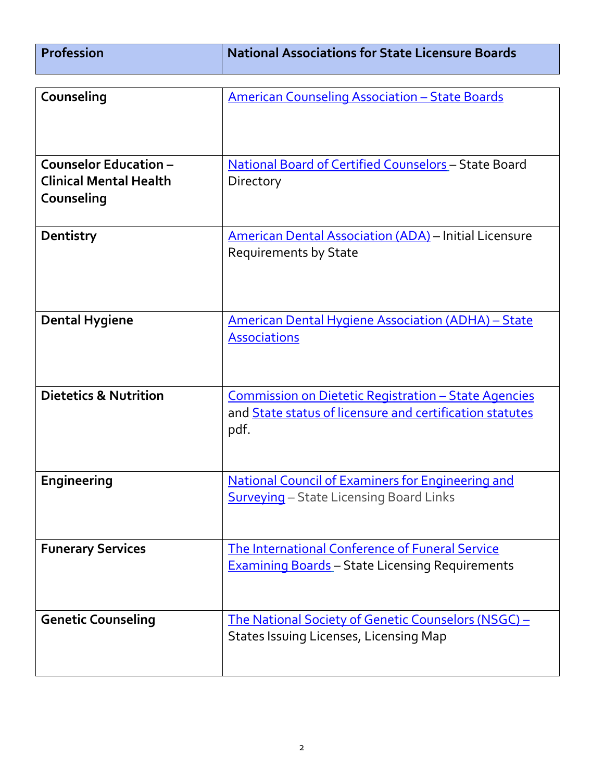| <b>Profession</b> | $^\text{!}$ National Associations for State Licensure Boards $^\text{!}$ |
|-------------------|--------------------------------------------------------------------------|
|                   |                                                                          |

 $\mathbf{I}$ 

| Counseling                                                                  | <b>American Counseling Association - State Boards</b>                                                                                  |
|-----------------------------------------------------------------------------|----------------------------------------------------------------------------------------------------------------------------------------|
|                                                                             |                                                                                                                                        |
| <b>Counselor Education -</b><br><b>Clinical Mental Health</b><br>Counseling | <b>National Board of Certified Counselors - State Board</b><br>Directory                                                               |
| Dentistry                                                                   | <b>American Dental Association (ADA)</b> – Initial Licensure<br><b>Requirements by State</b>                                           |
| <b>Dental Hygiene</b>                                                       | <b>American Dental Hygiene Association (ADHA) - State</b><br><b>Associations</b>                                                       |
| <b>Dietetics &amp; Nutrition</b>                                            | <u><b>Commission on Dietetic Registration - State Agencies</b></u><br>and State status of licensure and certification statutes<br>pdf. |
| Engineering                                                                 | <b>National Council of Examiners for Engineering and</b><br><b>Surveying</b> - State Licensing Board Links                             |
| <b>Funerary Services</b>                                                    | <b>The International Conference of Funeral Service</b><br><b>Examining Boards</b> - State Licensing Requirements                       |
| <b>Genetic Counseling</b>                                                   | <u>The National Society of Genetic Counselors (NSGC) -</u><br><b>States Issuing Licenses, Licensing Map</b>                            |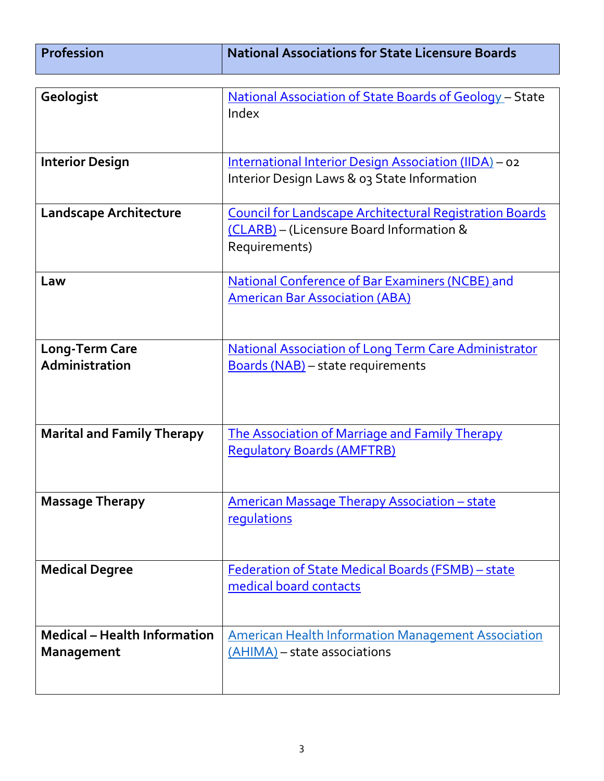| <b>Profession</b>                                        | <b>National Associations for State Licensure Boards</b>                                                                     |
|----------------------------------------------------------|-----------------------------------------------------------------------------------------------------------------------------|
|                                                          |                                                                                                                             |
| Geologist                                                | <u>National Association of State Boards of Geology</u> – State<br>Index                                                     |
| <b>Interior Design</b>                                   | International Interior Design Association (IIDA) - 02<br>Interior Design Laws & 03 State Information                        |
| <b>Landscape Architecture</b>                            | <b>Council for Landscape Architectural Registration Boards</b><br>(CLARB) – (Licensure Board Information &<br>Requirements) |
| Law                                                      | National Conference of Bar Examiners (NCBE) and<br><b>American Bar Association (ABA)</b>                                    |
| <b>Long-Term Care</b><br>Administration                  | <b>National Association of Long Term Care Administrator</b><br>Boards (NAB) - state requirements                            |
| <b>Marital and Family Therapy</b>                        | The Association of Marriage and Family Therapy<br><b>Requlatory Boards (AMFTRB)</b>                                         |
| <b>Massage Therapy</b>                                   | <b>American Massage Therapy Association - state</b><br>requlations                                                          |
| <b>Medical Degree</b>                                    | <b>Federation of State Medical Boards (FSMB) - state</b><br>medical board contacts                                          |
| <b>Medical - Health Information</b><br><b>Management</b> | <b>American Health Information Management Association</b><br>(AHIMA) - state associations                                   |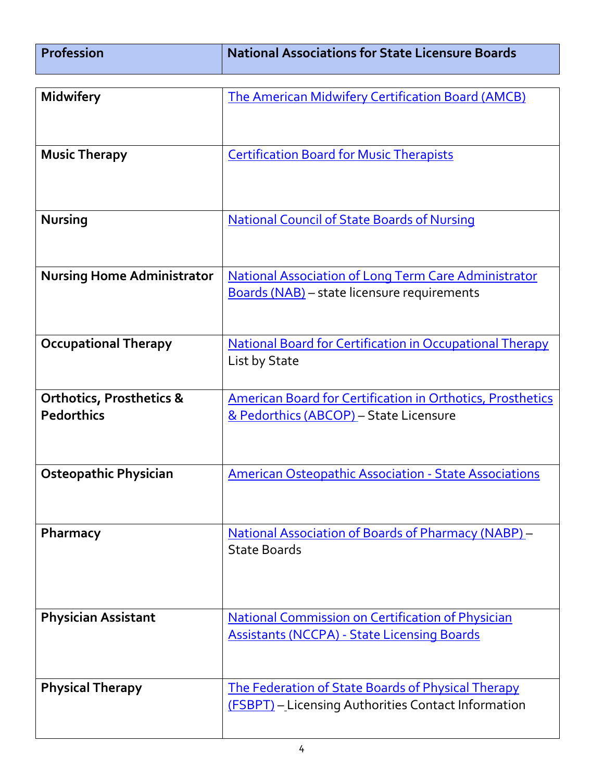| <b>Profession</b> | National Associations for State Licensure Boards |
|-------------------|--------------------------------------------------|
|                   |                                                  |

| <b>Midwifery</b>                    | <b>The American Midwifery Certification Board (AMCB)</b>                         |
|-------------------------------------|----------------------------------------------------------------------------------|
|                                     |                                                                                  |
|                                     |                                                                                  |
| <b>Music Therapy</b>                | <b>Certification Board for Music Therapists</b>                                  |
|                                     |                                                                                  |
|                                     |                                                                                  |
| <b>Nursing</b>                      | <b>National Council of State Boards of Nursing</b>                               |
|                                     |                                                                                  |
| <b>Nursing Home Administrator</b>   | <b>National Association of Long Term Care Administrator</b>                      |
|                                     | <b>Boards (NAB)</b> - state licensure requirements                               |
|                                     |                                                                                  |
|                                     |                                                                                  |
| <b>Occupational Therapy</b>         | <b>National Board for Certification in Occupational Therapy</b><br>List by State |
|                                     |                                                                                  |
| <b>Orthotics, Prosthetics &amp;</b> | <b>American Board for Certification in Orthotics, Prosthetics</b>                |
| <b>Pedorthics</b>                   | & Pedorthics (ABCOP) - State Licensure                                           |
|                                     |                                                                                  |
|                                     |                                                                                  |
| <b>Osteopathic Physician</b>        | <b>American Osteopathic Association - State Associations</b>                     |
|                                     |                                                                                  |
| Pharmacy                            | <b>National Association of Boards of Pharmacy (NABP)</b> -                       |
|                                     | <b>State Boards</b>                                                              |
|                                     |                                                                                  |
|                                     |                                                                                  |
| <b>Physician Assistant</b>          | <b>National Commission on Certification of Physician</b>                         |
|                                     | <b>Assistants (NCCPA) - State Licensing Boards</b>                               |
|                                     |                                                                                  |
| <b>Physical Therapy</b>             | <b>The Federation of State Boards of Physical Therapy</b>                        |
|                                     | (FSBPT) - Licensing Authorities Contact Information                              |
|                                     |                                                                                  |